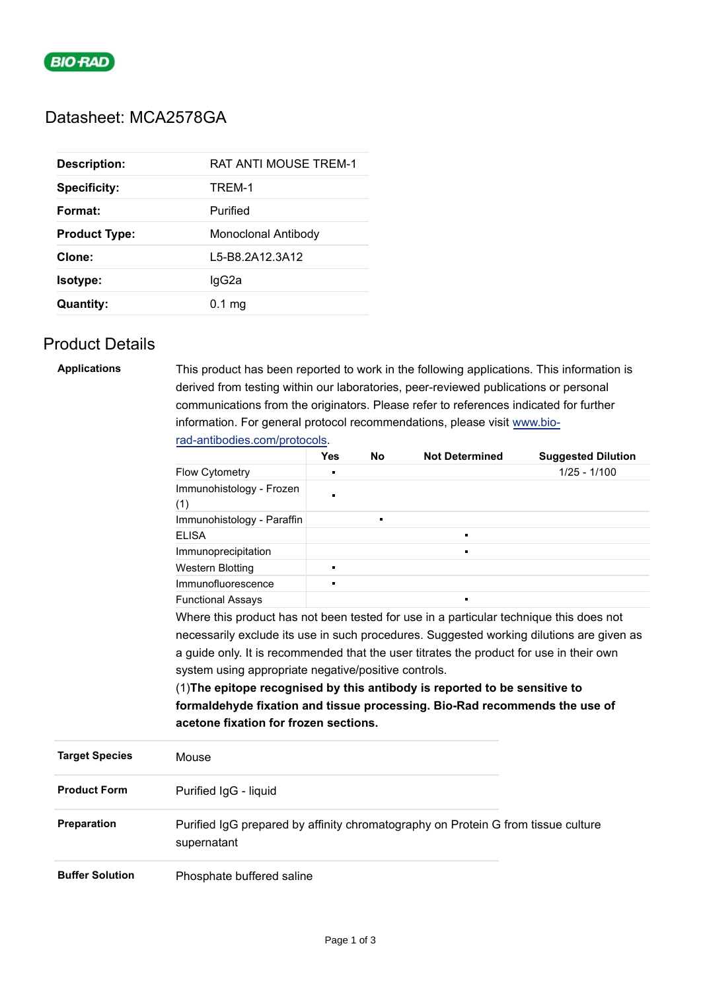

# Datasheet: MCA2578GA

| <b>Description:</b>  | <b>RAT ANTI MOUSE TREM-1</b> |  |  |
|----------------------|------------------------------|--|--|
| <b>Specificity:</b>  | TREM-1                       |  |  |
| Format:              | Purified                     |  |  |
| <b>Product Type:</b> | Monoclonal Antibody          |  |  |
| Clone:               | L5-B8.2A12.3A12              |  |  |
| <b>Isotype:</b>      | lgG2a                        |  |  |
| <b>Quantity:</b>     | $0.1 \text{ mg}$             |  |  |

## Product Details

| <b>Applications</b>    | This product has been reported to work in the following applications. This information is                                                                                                                                                                                                                                                                                                               |                                                                                                                                                                               |                |                |                |  |                       |                                       |  |  |  |  |  |
|------------------------|---------------------------------------------------------------------------------------------------------------------------------------------------------------------------------------------------------------------------------------------------------------------------------------------------------------------------------------------------------------------------------------------------------|-------------------------------------------------------------------------------------------------------------------------------------------------------------------------------|----------------|----------------|----------------|--|-----------------------|---------------------------------------|--|--|--|--|--|
|                        |                                                                                                                                                                                                                                                                                                                                                                                                         | derived from testing within our laboratories, peer-reviewed publications or personal<br>communications from the originators. Please refer to references indicated for further |                |                |                |  |                       |                                       |  |  |  |  |  |
|                        | information. For general protocol recommendations, please visit www.bio-                                                                                                                                                                                                                                                                                                                                |                                                                                                                                                                               |                |                |                |  |                       |                                       |  |  |  |  |  |
|                        |                                                                                                                                                                                                                                                                                                                                                                                                         |                                                                                                                                                                               |                |                |                |  |                       |                                       |  |  |  |  |  |
|                        |                                                                                                                                                                                                                                                                                                                                                                                                         | rad-antibodies.com/protocols.<br>Yes<br><b>No</b><br><b>Not Determined</b><br><b>Suggested Dilution</b>                                                                       |                |                |                |  |                       |                                       |  |  |  |  |  |
|                        | Flow Cytometry                                                                                                                                                                                                                                                                                                                                                                                          |                                                                                                                                                                               |                |                | $1/25 - 1/100$ |  |                       |                                       |  |  |  |  |  |
|                        | Immunohistology - Frozen                                                                                                                                                                                                                                                                                                                                                                                |                                                                                                                                                                               |                |                |                |  |                       |                                       |  |  |  |  |  |
|                        | (1)                                                                                                                                                                                                                                                                                                                                                                                                     |                                                                                                                                                                               |                |                |                |  |                       |                                       |  |  |  |  |  |
|                        | Immunohistology - Paraffin                                                                                                                                                                                                                                                                                                                                                                              |                                                                                                                                                                               | $\blacksquare$ |                |                |  |                       |                                       |  |  |  |  |  |
|                        | <b>ELISA</b>                                                                                                                                                                                                                                                                                                                                                                                            |                                                                                                                                                                               |                | $\blacksquare$ |                |  |                       |                                       |  |  |  |  |  |
|                        | Immunoprecipitation                                                                                                                                                                                                                                                                                                                                                                                     |                                                                                                                                                                               |                |                |                |  |                       |                                       |  |  |  |  |  |
|                        | <b>Western Blotting</b>                                                                                                                                                                                                                                                                                                                                                                                 | $\blacksquare$                                                                                                                                                                |                |                |                |  |                       |                                       |  |  |  |  |  |
|                        | Immunofluorescence                                                                                                                                                                                                                                                                                                                                                                                      |                                                                                                                                                                               |                |                |                |  |                       |                                       |  |  |  |  |  |
|                        | <b>Functional Assays</b>                                                                                                                                                                                                                                                                                                                                                                                |                                                                                                                                                                               |                |                |                |  |                       |                                       |  |  |  |  |  |
|                        | Where this product has not been tested for use in a particular technique this does not                                                                                                                                                                                                                                                                                                                  |                                                                                                                                                                               |                |                |                |  |                       |                                       |  |  |  |  |  |
|                        | necessarily exclude its use in such procedures. Suggested working dilutions are given as<br>a guide only. It is recommended that the user titrates the product for use in their own<br>system using appropriate negative/positive controls.<br>(1) The epitope recognised by this antibody is reported to be sensitive to<br>formaldehyde fixation and tissue processing. Bio-Rad recommends the use of |                                                                                                                                                                               |                |                |                |  |                       |                                       |  |  |  |  |  |
|                        |                                                                                                                                                                                                                                                                                                                                                                                                         |                                                                                                                                                                               |                |                |                |  |                       |                                       |  |  |  |  |  |
|                        |                                                                                                                                                                                                                                                                                                                                                                                                         |                                                                                                                                                                               |                |                |                |  |                       | acetone fixation for frozen sections. |  |  |  |  |  |
|                        |                                                                                                                                                                                                                                                                                                                                                                                                         |                                                                                                                                                                               |                |                |                |  | <b>Target Species</b> | Mouse                                 |  |  |  |  |  |
| <b>Product Form</b>    |                                                                                                                                                                                                                                                                                                                                                                                                         |                                                                                                                                                                               |                |                |                |  | Purified IgG - liquid |                                       |  |  |  |  |  |
| Preparation            | Purified IgG prepared by affinity chromatography on Protein G from tissue culture<br>supernatant                                                                                                                                                                                                                                                                                                        |                                                                                                                                                                               |                |                |                |  |                       |                                       |  |  |  |  |  |
| <b>Buffer Solution</b> | Phosphate buffered saline                                                                                                                                                                                                                                                                                                                                                                               |                                                                                                                                                                               |                |                |                |  |                       |                                       |  |  |  |  |  |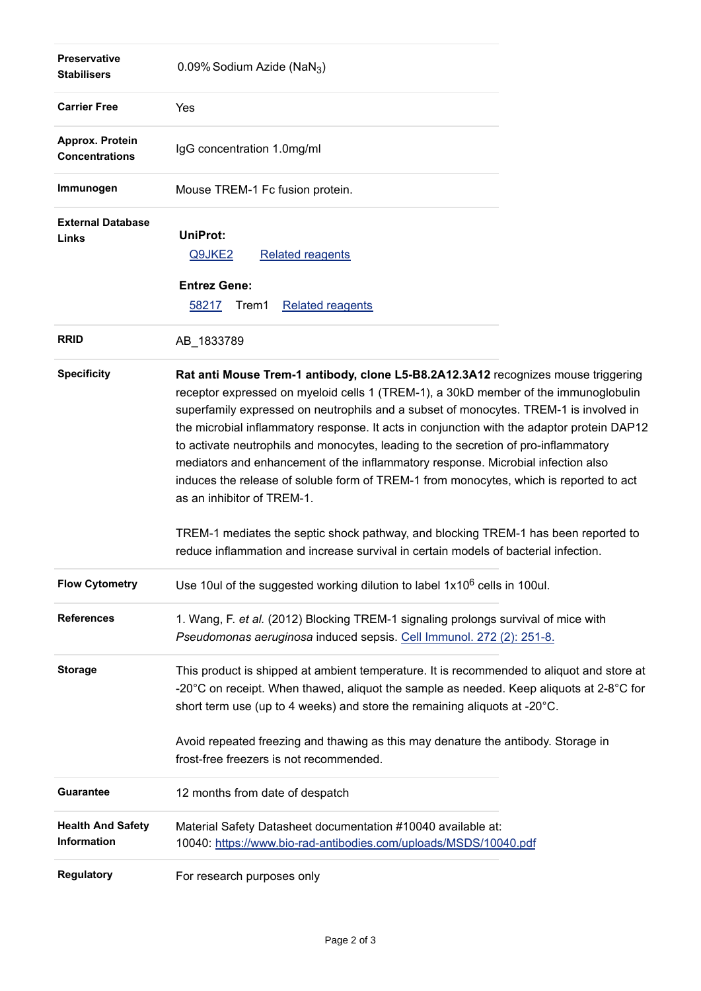| <b>Preservative</b><br><b>Stabilisers</b> | 0.09% Sodium Azide (NaN <sub>3</sub> )                                                                                                                                                                                                                                                                                                                                                                                                                                                                                                                                                                                                                                                                                                                   |  |  |  |  |
|-------------------------------------------|----------------------------------------------------------------------------------------------------------------------------------------------------------------------------------------------------------------------------------------------------------------------------------------------------------------------------------------------------------------------------------------------------------------------------------------------------------------------------------------------------------------------------------------------------------------------------------------------------------------------------------------------------------------------------------------------------------------------------------------------------------|--|--|--|--|
| <b>Carrier Free</b>                       | Yes                                                                                                                                                                                                                                                                                                                                                                                                                                                                                                                                                                                                                                                                                                                                                      |  |  |  |  |
| Approx. Protein<br><b>Concentrations</b>  | IgG concentration 1.0mg/ml                                                                                                                                                                                                                                                                                                                                                                                                                                                                                                                                                                                                                                                                                                                               |  |  |  |  |
| Immunogen                                 | Mouse TREM-1 Fc fusion protein.                                                                                                                                                                                                                                                                                                                                                                                                                                                                                                                                                                                                                                                                                                                          |  |  |  |  |
| <b>External Database</b><br>Links         | UniProt:<br><b>Related reagents</b><br>Q9JKE2<br><b>Entrez Gene:</b><br>58217<br>Trem1<br><b>Related reagents</b>                                                                                                                                                                                                                                                                                                                                                                                                                                                                                                                                                                                                                                        |  |  |  |  |
| <b>RRID</b>                               | AB_1833789                                                                                                                                                                                                                                                                                                                                                                                                                                                                                                                                                                                                                                                                                                                                               |  |  |  |  |
| <b>Specificity</b>                        | Rat anti Mouse Trem-1 antibody, clone L5-B8.2A12.3A12 recognizes mouse triggering<br>receptor expressed on myeloid cells 1 (TREM-1), a 30kD member of the immunoglobulin<br>superfamily expressed on neutrophils and a subset of monocytes. TREM-1 is involved in<br>the microbial inflammatory response. It acts in conjunction with the adaptor protein DAP12<br>to activate neutrophils and monocytes, leading to the secretion of pro-inflammatory<br>mediators and enhancement of the inflammatory response. Microbial infection also<br>induces the release of soluble form of TREM-1 from monocytes, which is reported to act<br>as an inhibitor of TREM-1.<br>TREM-1 mediates the septic shock pathway, and blocking TREM-1 has been reported to |  |  |  |  |
|                                           | reduce inflammation and increase survival in certain models of bacterial infection.                                                                                                                                                                                                                                                                                                                                                                                                                                                                                                                                                                                                                                                                      |  |  |  |  |
| <b>Flow Cytometry</b>                     | Use 10ul of the suggested working dilution to label 1x10 <sup>6</sup> cells in 100ul.                                                                                                                                                                                                                                                                                                                                                                                                                                                                                                                                                                                                                                                                    |  |  |  |  |
| <b>References</b>                         | 1. Wang, F. et al. (2012) Blocking TREM-1 signaling prolongs survival of mice with<br>Pseudomonas aeruginosa induced sepsis. Cell Immunol. 272 (2): 251-8.                                                                                                                                                                                                                                                                                                                                                                                                                                                                                                                                                                                               |  |  |  |  |
| <b>Storage</b>                            | This product is shipped at ambient temperature. It is recommended to aliquot and store at<br>-20 $^{\circ}$ C on receipt. When thawed, aliquot the sample as needed. Keep aliquots at 2-8 $^{\circ}$ C for<br>short term use (up to 4 weeks) and store the remaining aliquots at -20°C.                                                                                                                                                                                                                                                                                                                                                                                                                                                                  |  |  |  |  |
|                                           | Avoid repeated freezing and thawing as this may denature the antibody. Storage in<br>frost-free freezers is not recommended.                                                                                                                                                                                                                                                                                                                                                                                                                                                                                                                                                                                                                             |  |  |  |  |
| <b>Guarantee</b>                          | 12 months from date of despatch                                                                                                                                                                                                                                                                                                                                                                                                                                                                                                                                                                                                                                                                                                                          |  |  |  |  |
| <b>Health And Safety</b><br>Information   | Material Safety Datasheet documentation #10040 available at:<br>10040: https://www.bio-rad-antibodies.com/uploads/MSDS/10040.pdf                                                                                                                                                                                                                                                                                                                                                                                                                                                                                                                                                                                                                         |  |  |  |  |
| <b>Regulatory</b>                         | For research purposes only                                                                                                                                                                                                                                                                                                                                                                                                                                                                                                                                                                                                                                                                                                                               |  |  |  |  |